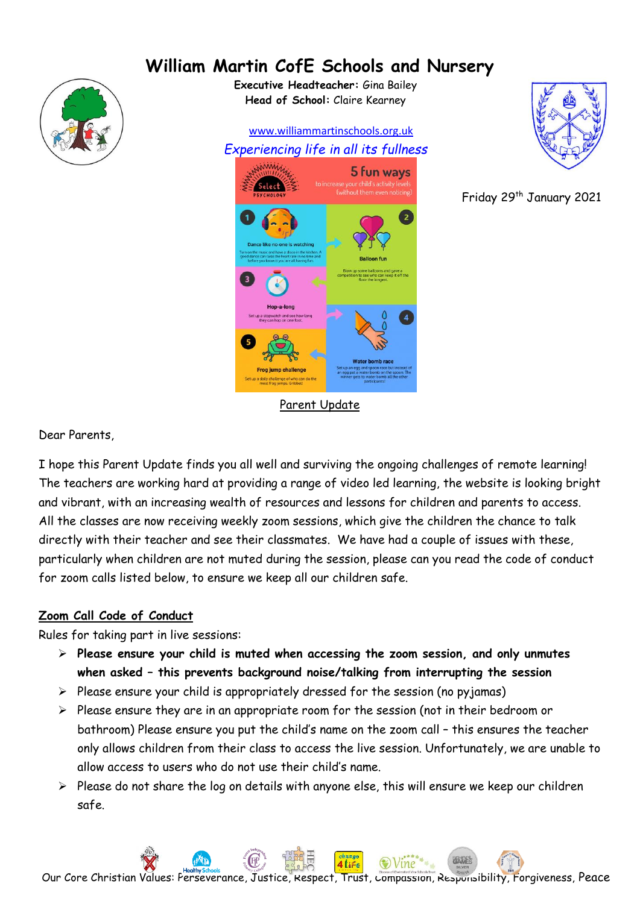# **William Martin CofE Schools and Nursery**



**Executive Headteacher:** Gina Bailey **Head of School:** Claire Kearney

 www.williammartinschools.org.uk *Experiencing life in all its fullness* 5 fun ways Parent Update



Friday 29th January 2021

Dear Parents,

I hope this Parent Update finds you all well and surviving the ongoing challenges of remote learning! The teachers are working hard at providing a range of video led learning, the website is looking bright and vibrant, with an increasing wealth of resources and lessons for children and parents to access. All the classes are now receiving weekly zoom sessions, which give the children the chance to talk directly with their teacher and see their classmates. We have had a couple of issues with these, particularly when children are not muted during the session, please can you read the code of conduct for zoom calls listed below, to ensure we keep all our children safe.

#### **Zoom Call Code of Conduct**

Rules for taking part in live sessions:

- ➢ **Please ensure your child is muted when accessing the zoom session, and only unmutes when asked – this prevents background noise/talking from interrupting the session**
- ➢ Please ensure your child is appropriately dressed for the session (no pyjamas)
- ➢ Please ensure they are in an appropriate room for the session (not in their bedroom or bathroom) Please ensure you put the child's name on the zoom call – this ensures the teacher only allows children from their class to access the live session. Unfortunately, we are unable to allow access to users who do not use their child's name.
- ➢ Please do not share the log on details with anyone else, this will ensure we keep our children safe.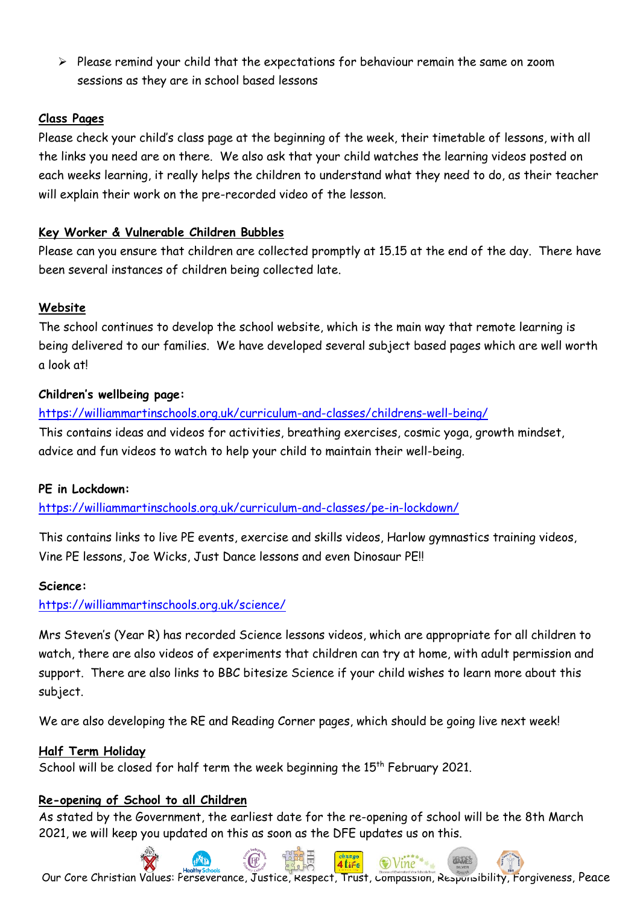➢ Please remind your child that the expectations for behaviour remain the same on zoom sessions as they are in school based lessons

# **Class Pages**

Please check your child's class page at the beginning of the week, their timetable of lessons, with all the links you need are on there. We also ask that your child watches the learning videos posted on each weeks learning, it really helps the children to understand what they need to do, as their teacher will explain their work on the pre-recorded video of the lesson.

# **Key Worker & Vulnerable Children Bubbles**

Please can you ensure that children are collected promptly at 15.15 at the end of the day. There have been several instances of children being collected late.

# **Website**

The school continues to develop the school website, which is the main way that remote learning is being delivered to our families. We have developed several subject based pages which are well worth a look at!

# **Children's wellbeing page:**

<https://williammartinschools.org.uk/curriculum-and-classes/childrens-well-being/> This contains ideas and videos for activities, breathing exercises, cosmic yoga, growth mindset, advice and fun videos to watch to help your child to maintain their well-being.

#### **PE in Lockdown:**

<https://williammartinschools.org.uk/curriculum-and-classes/pe-in-lockdown/>

This contains links to live PE events, exercise and skills videos, Harlow gymnastics training videos, Vine PE lessons, Joe Wicks, Just Dance lessons and even Dinosaur PE!!

#### **Science:**

<https://williammartinschools.org.uk/science/>

Mrs Steven's (Year R) has recorded Science lessons videos, which are appropriate for all children to watch, there are also videos of experiments that children can try at home, with adult permission and support. There are also links to BBC bitesize Science if your child wishes to learn more about this subject.

We are also developing the RE and Reading Corner pages, which should be going live next week!

#### **Half Term Holiday**

School will be closed for half term the week beginning the 15<sup>th</sup> February 2021.

#### **Re-opening of School to all Children**

As stated by the Government, the earliest date for the re-opening of school will be the 8th March 2021, we will keep you updated on this as soon as the DFE updates us on this.

Our Core Christian Values: Perseverance, Justice, Respect, Trust, Compassion, Responsibility, Forgiveness, Peace

 $\odot$ Vine